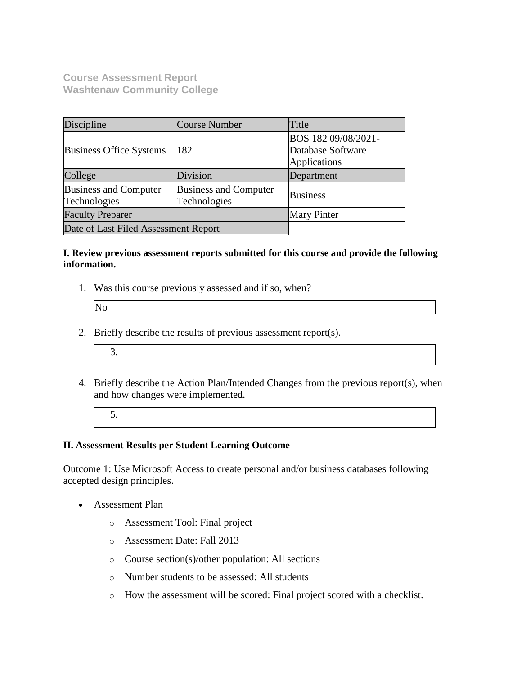**Course Assessment Report Washtenaw Community College**

| Discipline                                                                                   | Course Number | Title                                                           |  |
|----------------------------------------------------------------------------------------------|---------------|-----------------------------------------------------------------|--|
| <b>Business Office Systems</b>                                                               | 182           | BOS 182 09/08/2021-<br>Database Software<br><b>Applications</b> |  |
| College                                                                                      | Division      | Department                                                      |  |
| <b>Business and Computer</b><br><b>Business and Computer</b><br>Technologies<br>Technologies |               | <b>Business</b>                                                 |  |
| <b>Faculty Preparer</b>                                                                      |               | <b>Mary Pinter</b>                                              |  |
| Date of Last Filed Assessment Report                                                         |               |                                                                 |  |

## **I. Review previous assessment reports submitted for this course and provide the following information.**

1. Was this course previously assessed and if so, when?

| N <sub>0</sub> |  |  |
|----------------|--|--|
|                |  |  |

- 2. Briefly describe the results of previous assessment report(s).
	- 3.
- 4. Briefly describe the Action Plan/Intended Changes from the previous report(s), when and how changes were implemented.
	- 5.

## **II. Assessment Results per Student Learning Outcome**

Outcome 1: Use Microsoft Access to create personal and/or business databases following accepted design principles.

- Assessment Plan
	- o Assessment Tool: Final project
	- o Assessment Date: Fall 2013
	- o Course section(s)/other population: All sections
	- o Number students to be assessed: All students
	- o How the assessment will be scored: Final project scored with a checklist.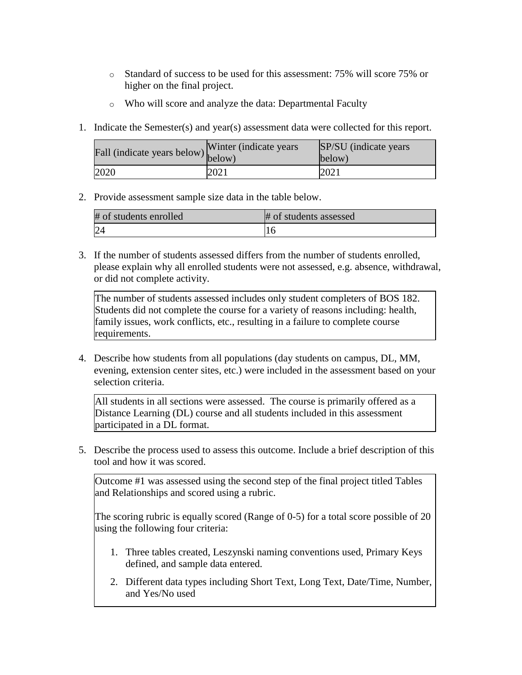- o Standard of success to be used for this assessment: 75% will score 75% or higher on the final project.
- o Who will score and analyze the data: Departmental Faculty
- 1. Indicate the Semester(s) and year(s) assessment data were collected for this report.

| rall (indicate years below) below) | Winter (indicate years) | SP/SU (indicate years)<br>below) |
|------------------------------------|-------------------------|----------------------------------|
| 2020                               | 2021                    | 2021                             |

2. Provide assessment sample size data in the table below.

| # of students enrolled | # of students assessed |
|------------------------|------------------------|
|                        |                        |

3. If the number of students assessed differs from the number of students enrolled, please explain why all enrolled students were not assessed, e.g. absence, withdrawal, or did not complete activity.

The number of students assessed includes only student completers of BOS 182. Students did not complete the course for a variety of reasons including: health, family issues, work conflicts, etc., resulting in a failure to complete course requirements.

4. Describe how students from all populations (day students on campus, DL, MM, evening, extension center sites, etc.) were included in the assessment based on your selection criteria.

All students in all sections were assessed. The course is primarily offered as a Distance Learning (DL) course and all students included in this assessment participated in a DL format.

5. Describe the process used to assess this outcome. Include a brief description of this tool and how it was scored.

Outcome #1 was assessed using the second step of the final project titled Tables and Relationships and scored using a rubric.

The scoring rubric is equally scored (Range of 0-5) for a total score possible of 20 using the following four criteria:

- 1. Three tables created, Leszynski naming conventions used, Primary Keys defined, and sample data entered.
- 2. Different data types including Short Text, Long Text, Date/Time, Number, and Yes/No used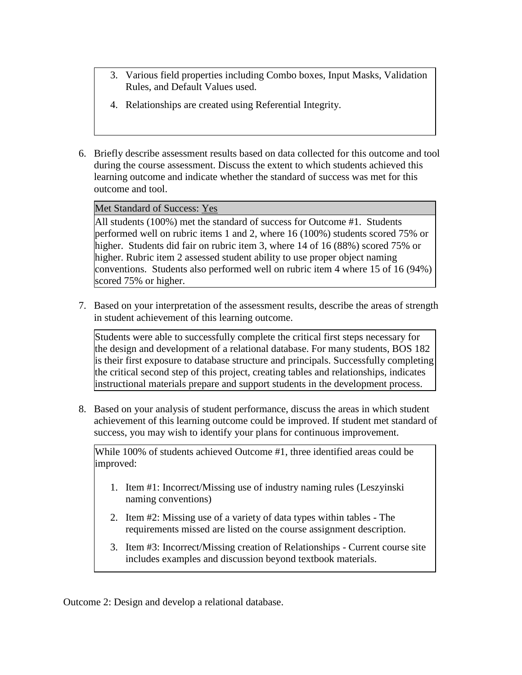- 3. Various field properties including Combo boxes, Input Masks, Validation Rules, and Default Values used.
- 4. Relationships are created using Referential Integrity.
- 6. Briefly describe assessment results based on data collected for this outcome and tool during the course assessment. Discuss the extent to which students achieved this learning outcome and indicate whether the standard of success was met for this outcome and tool.

Met Standard of Success: Yes

All students (100%) met the standard of success for Outcome #1. Students performed well on rubric items 1 and 2, where 16 (100%) students scored 75% or higher. Students did fair on rubric item 3, where 14 of 16 (88%) scored 75% or higher. Rubric item 2 assessed student ability to use proper object naming conventions. Students also performed well on rubric item 4 where 15 of 16 (94%) scored 75% or higher.

7. Based on your interpretation of the assessment results, describe the areas of strength in student achievement of this learning outcome.

Students were able to successfully complete the critical first steps necessary for the design and development of a relational database. For many students, BOS 182 is their first exposure to database structure and principals. Successfully completing the critical second step of this project, creating tables and relationships, indicates instructional materials prepare and support students in the development process.

8. Based on your analysis of student performance, discuss the areas in which student achievement of this learning outcome could be improved. If student met standard of success, you may wish to identify your plans for continuous improvement.

While 100% of students achieved Outcome #1, three identified areas could be improved:

- 1. Item #1: Incorrect/Missing use of industry naming rules (Leszyinski naming conventions)
- 2. Item #2: Missing use of a variety of data types within tables The requirements missed are listed on the course assignment description.
- 3. Item #3: Incorrect/Missing creation of Relationships Current course site includes examples and discussion beyond textbook materials.

Outcome 2: Design and develop a relational database.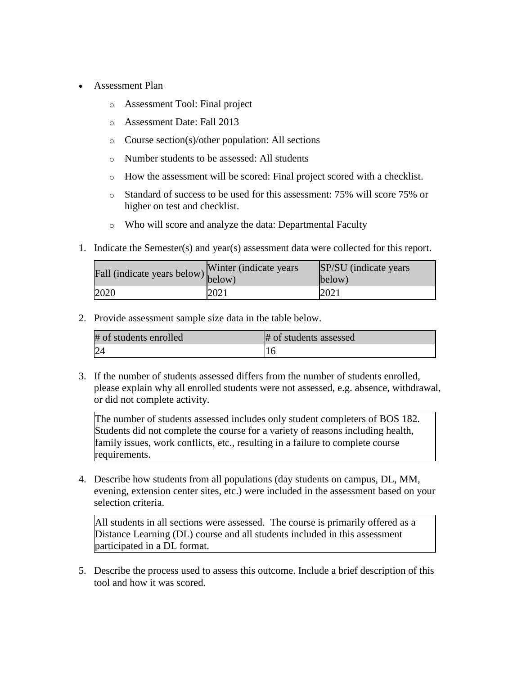- Assessment Plan
	- o Assessment Tool: Final project
	- o Assessment Date: Fall 2013
	- o Course section(s)/other population: All sections
	- o Number students to be assessed: All students
	- o How the assessment will be scored: Final project scored with a checklist.
	- o Standard of success to be used for this assessment: 75% will score 75% or higher on test and checklist.
	- o Who will score and analyze the data: Departmental Faculty
- 1. Indicate the Semester(s) and year(s) assessment data were collected for this report.

| Fall (indicate years below) below) | Winter (indicate years) | SP/SU (indicate years)<br>below) |
|------------------------------------|-------------------------|----------------------------------|
| 2020                               | 2021                    | 2021                             |

2. Provide assessment sample size data in the table below.

| # of students enrolled | # of students assessed |
|------------------------|------------------------|
| 24                     |                        |

3. If the number of students assessed differs from the number of students enrolled, please explain why all enrolled students were not assessed, e.g. absence, withdrawal, or did not complete activity.

The number of students assessed includes only student completers of BOS 182. Students did not complete the course for a variety of reasons including health, family issues, work conflicts, etc., resulting in a failure to complete course requirements.

4. Describe how students from all populations (day students on campus, DL, MM, evening, extension center sites, etc.) were included in the assessment based on your selection criteria.

All students in all sections were assessed. The course is primarily offered as a Distance Learning (DL) course and all students included in this assessment participated in a DL format.

5. Describe the process used to assess this outcome. Include a brief description of this tool and how it was scored.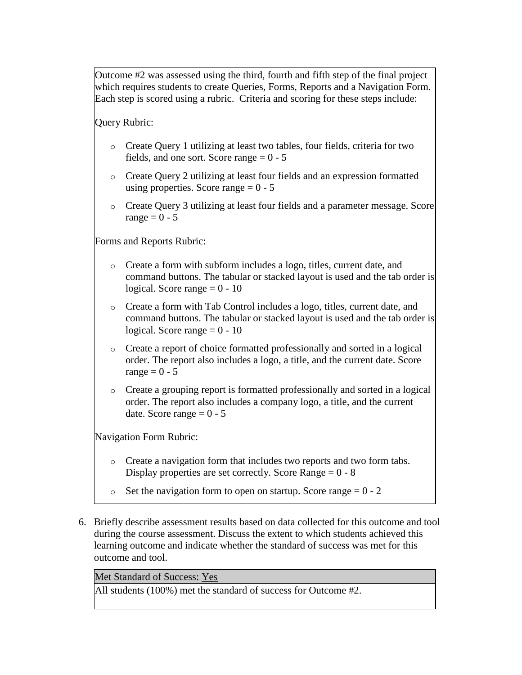Outcome #2 was assessed using the third, fourth and fifth step of the final project which requires students to create Queries, Forms, Reports and a Navigation Form. Each step is scored using a rubric. Criteria and scoring for these steps include:

Query Rubric:

- o Create Query 1 utilizing at least two tables, four fields, criteria for two fields, and one sort. Score range  $= 0 - 5$
- o Create Query 2 utilizing at least four fields and an expression formatted using properties. Score range  $= 0 - 5$
- o Create Query 3 utilizing at least four fields and a parameter message. Score range  $= 0 - 5$

Forms and Reports Rubric:

- o Create a form with subform includes a logo, titles, current date, and command buttons. The tabular or stacked layout is used and the tab order is logical. Score range  $= 0 - 10$
- o Create a form with Tab Control includes a logo, titles, current date, and command buttons. The tabular or stacked layout is used and the tab order is logical. Score range  $= 0 - 10$
- o Create a report of choice formatted professionally and sorted in a logical order. The report also includes a logo, a title, and the current date. Score range  $= 0 - 5$
- o Create a grouping report is formatted professionally and sorted in a logical order. The report also includes a company logo, a title, and the current date. Score range  $= 0 - 5$

Navigation Form Rubric:

- o Create a navigation form that includes two reports and two form tabs. Display properties are set correctly. Score Range  $= 0 - 8$
- $\circ$  Set the navigation form to open on startup. Score range = 0 2
- 6. Briefly describe assessment results based on data collected for this outcome and tool during the course assessment. Discuss the extent to which students achieved this learning outcome and indicate whether the standard of success was met for this outcome and tool.

Met Standard of Success: Yes

All students (100%) met the standard of success for Outcome #2.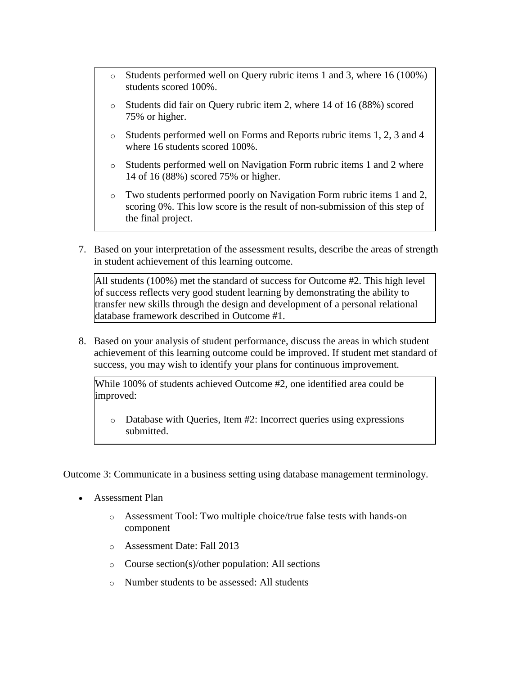- o Students performed well on Query rubric items 1 and 3, where 16 (100%) students scored 100%.
- o Students did fair on Query rubric item 2, where 14 of 16 (88%) scored 75% or higher.
- o Students performed well on Forms and Reports rubric items 1, 2, 3 and 4 where 16 students scored 100%.
- o Students performed well on Navigation Form rubric items 1 and 2 where 14 of 16 (88%) scored 75% or higher.
- Two students performed poorly on Navigation Form rubric items 1 and 2, scoring 0%. This low score is the result of non-submission of this step of the final project.
- 7. Based on your interpretation of the assessment results, describe the areas of strength in student achievement of this learning outcome.

All students (100%) met the standard of success for Outcome #2. This high level of success reflects very good student learning by demonstrating the ability to transfer new skills through the design and development of a personal relational database framework described in Outcome #1.

8. Based on your analysis of student performance, discuss the areas in which student achievement of this learning outcome could be improved. If student met standard of success, you may wish to identify your plans for continuous improvement.

While 100% of students achieved Outcome #2, one identified area could be improved:

o Database with Queries, Item #2: Incorrect queries using expressions submitted.

Outcome 3: Communicate in a business setting using database management terminology.

- Assessment Plan
	- o Assessment Tool: Two multiple choice/true false tests with hands-on component
	- o Assessment Date: Fall 2013
	- o Course section(s)/other population: All sections
	- o Number students to be assessed: All students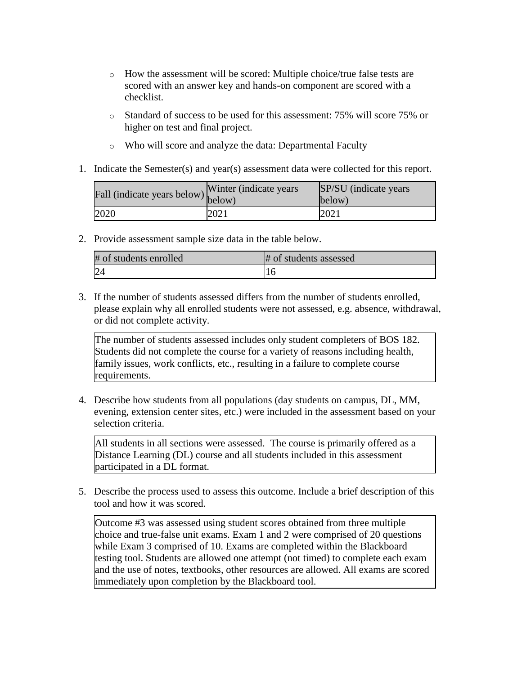- o How the assessment will be scored: Multiple choice/true false tests are scored with an answer key and hands-on component are scored with a checklist.
- o Standard of success to be used for this assessment: 75% will score 75% or higher on test and final project.
- o Who will score and analyze the data: Departmental Faculty
- 1. Indicate the Semester(s) and year(s) assessment data were collected for this report.

| Fall (indicate years below) | Winter (indicate years) | SP/SU (indicate years)<br>$\vert$ below) |
|-----------------------------|-------------------------|------------------------------------------|
| 2020                        | 2021                    | 2021                                     |

2. Provide assessment sample size data in the table below.

| # of students enrolled | # of students assessed |
|------------------------|------------------------|
|                        |                        |

3. If the number of students assessed differs from the number of students enrolled, please explain why all enrolled students were not assessed, e.g. absence, withdrawal, or did not complete activity.

The number of students assessed includes only student completers of BOS 182. Students did not complete the course for a variety of reasons including health, family issues, work conflicts, etc., resulting in a failure to complete course requirements.

4. Describe how students from all populations (day students on campus, DL, MM, evening, extension center sites, etc.) were included in the assessment based on your selection criteria.

All students in all sections were assessed. The course is primarily offered as a Distance Learning (DL) course and all students included in this assessment participated in a DL format.

5. Describe the process used to assess this outcome. Include a brief description of this tool and how it was scored.

Outcome #3 was assessed using student scores obtained from three multiple choice and true-false unit exams. Exam 1 and 2 were comprised of 20 questions while Exam 3 comprised of 10. Exams are completed within the Blackboard testing tool. Students are allowed one attempt (not timed) to complete each exam and the use of notes, textbooks, other resources are allowed. All exams are scored immediately upon completion by the Blackboard tool.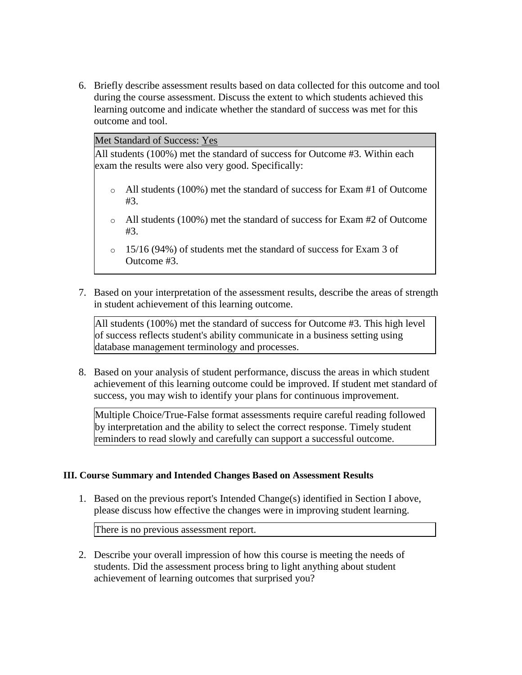6. Briefly describe assessment results based on data collected for this outcome and tool during the course assessment. Discuss the extent to which students achieved this learning outcome and indicate whether the standard of success was met for this outcome and tool.

Met Standard of Success: Yes

All students (100%) met the standard of success for Outcome #3. Within each exam the results were also very good. Specifically:

- o All students (100%) met the standard of success for Exam #1 of Outcome #3.
- o All students (100%) met the standard of success for Exam #2 of Outcome #3.
- o 15/16 (94%) of students met the standard of success for Exam 3 of Outcome #3.
- 7. Based on your interpretation of the assessment results, describe the areas of strength in student achievement of this learning outcome.

All students (100%) met the standard of success for Outcome #3. This high level of success reflects student's ability communicate in a business setting using database management terminology and processes.

8. Based on your analysis of student performance, discuss the areas in which student achievement of this learning outcome could be improved. If student met standard of success, you may wish to identify your plans for continuous improvement.

Multiple Choice/True-False format assessments require careful reading followed by interpretation and the ability to select the correct response. Timely student reminders to read slowly and carefully can support a successful outcome.

## **III. Course Summary and Intended Changes Based on Assessment Results**

1. Based on the previous report's Intended Change(s) identified in Section I above, please discuss how effective the changes were in improving student learning.

There is no previous assessment report.

2. Describe your overall impression of how this course is meeting the needs of students. Did the assessment process bring to light anything about student achievement of learning outcomes that surprised you?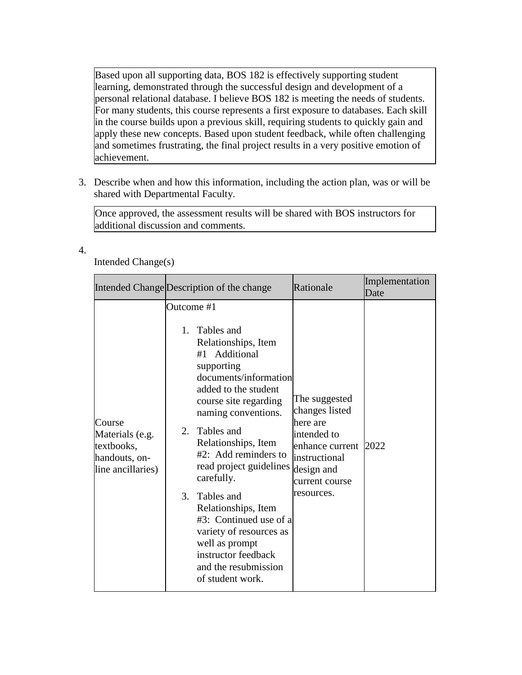Based upon all supporting data, BOS 182 is effectively supporting student learning, demonstrated through the successful design and development of a personal relational database. I believe BOS 182 is meeting the needs of students. For many students, this course represents a first exposure to databases. Each skill in the course builds upon a previous skill, requiring students to quickly gain and apply these new concepts. Based upon student feedback, while often challenging and sometimes frustrating, the final project results in a very positive emotion of achievement.

3. Describe when and how this information, including the action plan, was or will be shared with Departmental Faculty.

Once approved, the assessment results will be shared with BOS instructors for additional discussion and comments.

4.

Intended Change(s)

|                                                                               | Intended Change Description of the change                                                                                                                                                                                                                                                                                                                                                                                                                                           | Rationale                                                                                                                                         | Implementation<br>Date |
|-------------------------------------------------------------------------------|-------------------------------------------------------------------------------------------------------------------------------------------------------------------------------------------------------------------------------------------------------------------------------------------------------------------------------------------------------------------------------------------------------------------------------------------------------------------------------------|---------------------------------------------------------------------------------------------------------------------------------------------------|------------------------|
| Course<br>Materials (e.g.<br>textbooks,<br>handouts, on-<br>line ancillaries) | Outcome #1<br>1. Tables and<br>Relationships, Item<br>#1 Additional<br>supporting<br>documents/information<br>added to the student<br>course site regarding<br>naming conventions.<br>Tables and<br>2.<br>Relationships, Item<br>#2: Add reminders to<br>read project guidelines<br>carefully.<br>3.<br>Tables and<br>Relationships, Item<br>#3: Continued use of a<br>variety of resources as<br>well as prompt<br>instructor feedback<br>and the resubmission<br>of student work. | The suggested<br>changes listed<br>here are<br>intended to<br>enhance current 2022<br>instructional<br>design and<br>current course<br>resources. |                        |